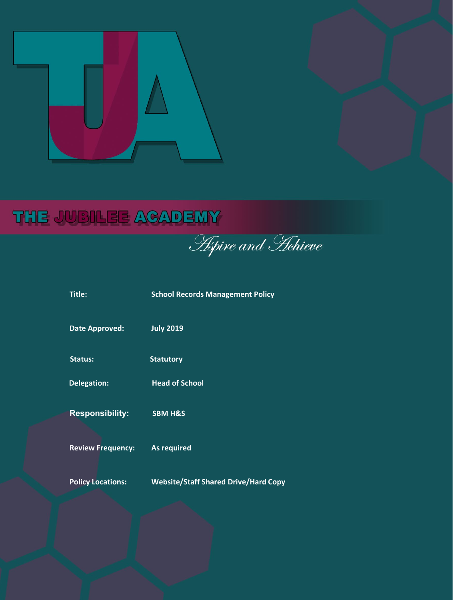

# THE JUBILEE ACADEMY

**Aspire and Hehieve** 

| Title:                   | <b>School Records Management Policy</b>     |
|--------------------------|---------------------------------------------|
| <b>Date Approved:</b>    | <b>July 2019</b>                            |
| Status:                  | <b>Statutory</b>                            |
| <b>Delegation:</b>       | <b>Head of School</b>                       |
| <b>Responsibility:</b>   | <b>SBM H&amp;S</b>                          |
| <b>Review Frequency:</b> | <b>As required</b>                          |
| <b>Policy Locations:</b> | <b>Website/Staff Shared Drive/Hard Copy</b> |
|                          |                                             |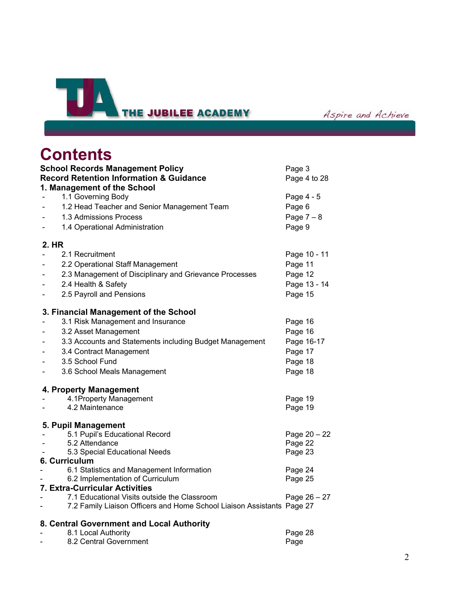

Aspire and Achieve

# **Contents**<br>School Records M

|       | <b>School Records Management Policy</b><br><b>Record Retention Information &amp; Guidance</b><br>1. Management of the School | Page 3<br>Page 4 to 28 |
|-------|------------------------------------------------------------------------------------------------------------------------------|------------------------|
|       | 1.1 Governing Body                                                                                                           | Page 4 - 5             |
|       | 1.2 Head Teacher and Senior Management Team                                                                                  | Page 6                 |
|       | 1.3 Admissions Process                                                                                                       | Page $7-8$             |
|       | 1.4 Operational Administration                                                                                               | Page 9                 |
| 2. HR |                                                                                                                              |                        |
|       | 2.1 Recruitment                                                                                                              | Page 10 - 11           |
|       | 2.2 Operational Staff Management                                                                                             | Page 11                |
|       | 2.3 Management of Disciplinary and Grievance Processes                                                                       | Page 12                |
|       | 2.4 Health & Safety                                                                                                          | Page 13 - 14           |
|       | 2.5 Payroll and Pensions                                                                                                     | Page 15                |
|       | 3. Financial Management of the School                                                                                        |                        |
|       | 3.1 Risk Management and Insurance                                                                                            | Page 16                |
|       | 3.2 Asset Management                                                                                                         | Page 16                |
|       | 3.3 Accounts and Statements including Budget Management                                                                      | Page 16-17             |
|       | 3.4 Contract Management                                                                                                      | Page 17                |
|       | 3.5 School Fund                                                                                                              | Page 18                |
|       | 3.6 School Meals Management                                                                                                  | Page 18                |
|       | 4. Property Management                                                                                                       |                        |
|       | 4.1Property Management                                                                                                       | Page 19                |
|       | 4.2 Maintenance                                                                                                              | Page 19                |
|       | 5. Pupil Management                                                                                                          |                        |
|       | 5.1 Pupil's Educational Record                                                                                               | Page $20 - 22$         |
|       | 5.2 Attendance                                                                                                               | Page 22                |
|       | 5.3 Special Educational Needs                                                                                                | Page 23                |
|       | 6. Curriculum<br>6.1 Statistics and Management Information                                                                   | Page 24                |
|       | 6.2 Implementation of Curriculum                                                                                             | Page 25                |
|       | 7. Extra-Curricular Activities                                                                                               |                        |
|       | 7.1 Educational Visits outside the Classroom                                                                                 | Page 26 – 27           |
|       | 7.2 Family Liaison Officers and Home School Liaison Assistants Page 27                                                       |                        |
|       | 8. Central Government and Local Authority                                                                                    |                        |
|       | 8.1 Local Authority                                                                                                          | Page 28                |
|       | 8.2 Central Government                                                                                                       | Page                   |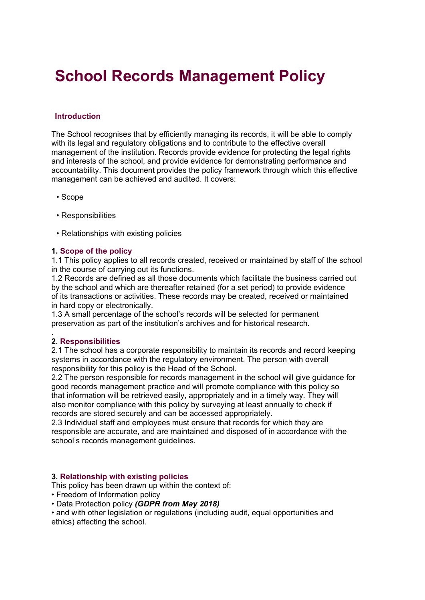# **School Records Management Policy**

## **Introduction**

The School recognises that by efficiently managing its records, it will be able to comply with its legal and regulatory obligations and to contribute to the effective overall management of the institution. Records provide evidence for protecting the legal rights and interests of the school, and provide evidence for demonstrating performance and accountability. This document provides the policy framework through which this effective management can be achieved and audited. It covers:

- Scope
- Responsibilities
- Relationships with existing policies

## **1. Scope of the policy**

1.1 This policy applies to all records created, received or maintained by staff of the school in the course of carrying out its functions.

1.2 Records are defined as all those documents which facilitate the business carried out by the school and which are thereafter retained (for a set period) to provide evidence of its transactions or activities. These records may be created, received or maintained in hard copy or electronically.

1.3 A small percentage of the school's records will be selected for permanent preservation as part of the institution's archives and for historical research.

#### . **2. Responsibilities**

2.1 The school has a corporate responsibility to maintain its records and record keeping systems in accordance with the regulatory environment. The person with overall responsibility for this policy is the Head of the School.

2.2 The person responsible for records management in the school will give guidance for good records management practice and will promote compliance with this policy so that information will be retrieved easily, appropriately and in a timely way. They will also monitor compliance with this policy by surveying at least annually to check if records are stored securely and can be accessed appropriately.

2.3 Individual staff and employees must ensure that records for which they are responsible are accurate, and are maintained and disposed of in accordance with the school's records management guidelines.

#### **3. Relationship with existing policies**

This policy has been drawn up within the context of:

- Freedom of Information policy
- Data Protection policy *(GDPR from May 2018)*

• and with other legislation or regulations (including audit, equal opportunities and ethics) affecting the school.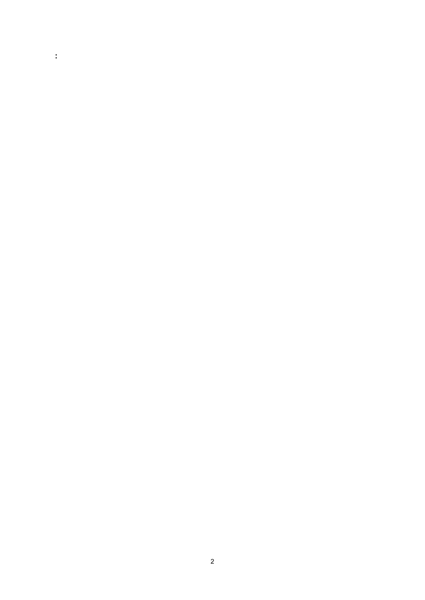**:**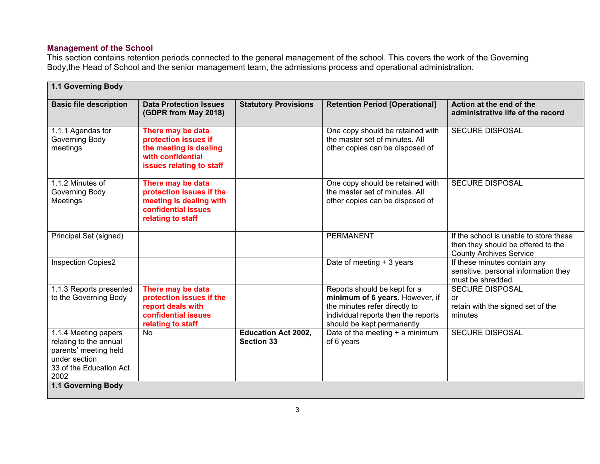# **Management of the School**

This section contains retention periods connected to the general management of the school. This covers the work of the Governing Body,the Head of School and the senior management team, the admissions process and operational administration.

| 1.1 Governing Body                                                                                                          |                                                                                                                      |                                                 |                                                                                                                                                                       |                                                                                                                |
|-----------------------------------------------------------------------------------------------------------------------------|----------------------------------------------------------------------------------------------------------------------|-------------------------------------------------|-----------------------------------------------------------------------------------------------------------------------------------------------------------------------|----------------------------------------------------------------------------------------------------------------|
| <b>Basic file description</b>                                                                                               | <b>Data Protection Issues</b><br>(GDPR from May 2018)                                                                | <b>Statutory Provisions</b>                     | <b>Retention Period [Operational]</b>                                                                                                                                 | Action at the end of the<br>administrative life of the record                                                  |
| 1.1.1 Agendas for<br>Governing Body<br>meetings                                                                             | There may be data<br>protection issues if<br>the meeting is dealing<br>with confidential<br>issues relating to staff |                                                 | One copy should be retained with<br>the master set of minutes. All<br>other copies can be disposed of                                                                 | <b>SECURE DISPOSAL</b>                                                                                         |
| 1.1.2 Minutes of<br>Governing Body<br>Meetings                                                                              | There may be data<br>protection issues if the<br>meeting is dealing with<br>confidential issues<br>relating to staff |                                                 | One copy should be retained with<br>the master set of minutes. All<br>other copies can be disposed of                                                                 | <b>SECURE DISPOSAL</b>                                                                                         |
| Principal Set (signed)                                                                                                      |                                                                                                                      |                                                 | <b>PERMANENT</b>                                                                                                                                                      | If the school is unable to store these<br>then they should be offered to the<br><b>County Archives Service</b> |
| <b>Inspection Copies2</b>                                                                                                   |                                                                                                                      |                                                 | Date of meeting $+3$ years                                                                                                                                            | If these minutes contain any<br>sensitive, personal information they<br>must be shredded.                      |
| 1.1.3 Reports presented<br>to the Governing Body                                                                            | There may be data<br>protection issues if the<br>report deals with<br>confidential issues<br>relating to staff       |                                                 | Reports should be kept for a<br>minimum of 6 years. However, if<br>the minutes refer directly to<br>individual reports then the reports<br>should be kept permanently | <b>SECURE DISPOSAL</b><br>or<br>retain with the signed set of the<br>minutes                                   |
| 1.1.4 Meeting papers<br>relating to the annual<br>parents' meeting held<br>under section<br>33 of the Education Act<br>2002 | <b>No</b>                                                                                                            | <b>Education Act 2002,</b><br><b>Section 33</b> | Date of the meeting $+$ a minimum<br>of 6 years                                                                                                                       | <b>SECURE DISPOSAL</b>                                                                                         |
| 1.1 Governing Body                                                                                                          |                                                                                                                      |                                                 |                                                                                                                                                                       |                                                                                                                |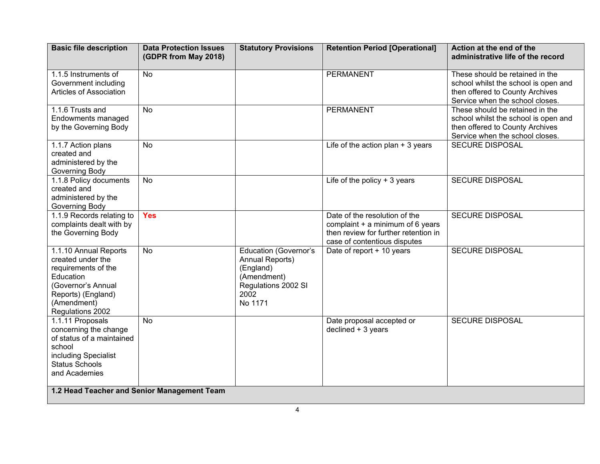| <b>Basic file description</b>                                                                                                                                 | <b>Data Protection Issues</b><br>(GDPR from May 2018) | <b>Statutory Provisions</b>                                                                                           | <b>Retention Period [Operational]</b>                                                                                                     | Action at the end of the<br>administrative life of the record                                                                                 |
|---------------------------------------------------------------------------------------------------------------------------------------------------------------|-------------------------------------------------------|-----------------------------------------------------------------------------------------------------------------------|-------------------------------------------------------------------------------------------------------------------------------------------|-----------------------------------------------------------------------------------------------------------------------------------------------|
| 1.1.5 Instruments of<br>Government including<br>Articles of Association                                                                                       | <b>No</b>                                             |                                                                                                                       | <b>PERMANENT</b>                                                                                                                          | These should be retained in the<br>school whilst the school is open and<br>then offered to County Archives<br>Service when the school closes. |
| 1.1.6 Trusts and<br>Endowments managed<br>by the Governing Body                                                                                               | <b>No</b>                                             |                                                                                                                       | <b>PERMANENT</b>                                                                                                                          | These should be retained in the<br>school whilst the school is open and<br>then offered to County Archives<br>Service when the school closes. |
| 1.1.7 Action plans<br>created and<br>administered by the<br>Governing Body                                                                                    | No                                                    |                                                                                                                       | Life of the action plan $+3$ years                                                                                                        | <b>SECURE DISPOSAL</b>                                                                                                                        |
| 1.1.8 Policy documents<br>created and<br>administered by the<br>Governing Body                                                                                | <b>No</b>                                             |                                                                                                                       | Life of the policy $+3$ years                                                                                                             | <b>SECURE DISPOSAL</b>                                                                                                                        |
| 1.1.9 Records relating to<br>complaints dealt with by<br>the Governing Body                                                                                   | <b>Yes</b>                                            |                                                                                                                       | Date of the resolution of the<br>complaint + a minimum of 6 years<br>then review for further retention in<br>case of contentious disputes | <b>SECURE DISPOSAL</b>                                                                                                                        |
| 1.1.10 Annual Reports<br>created under the<br>requirements of the<br>Education<br>(Governor's Annual<br>Reports) (England)<br>(Amendment)<br>Regulations 2002 | No                                                    | <b>Education (Governor's</b><br>Annual Reports)<br>(England)<br>(Amendment)<br>Regulations 2002 SI<br>2002<br>No 1171 | Date of report + 10 years                                                                                                                 | <b>SECURE DISPOSAL</b>                                                                                                                        |
| 1.1.11 Proposals<br>concerning the change<br>of status of a maintained<br>school<br>including Specialist<br><b>Status Schools</b><br>and Academies            | <b>No</b>                                             |                                                                                                                       | Date proposal accepted or<br>$decimal + 3 years$                                                                                          | <b>SECURE DISPOSAL</b>                                                                                                                        |
|                                                                                                                                                               | 1.2 Head Teacher and Senior Management Team           |                                                                                                                       |                                                                                                                                           |                                                                                                                                               |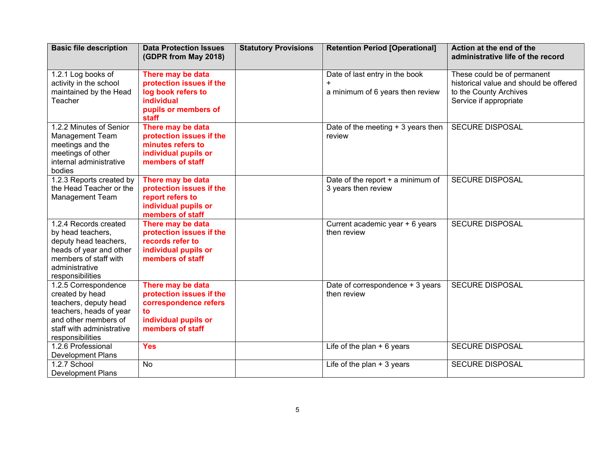| <b>Basic file description</b>                                                                                                                                        | <b>Data Protection Issues</b><br>(GDPR from May 2018)                                                                     | <b>Statutory Provisions</b> | <b>Retention Period [Operational]</b>                                           | Action at the end of the<br>administrative life of the record                                                             |
|----------------------------------------------------------------------------------------------------------------------------------------------------------------------|---------------------------------------------------------------------------------------------------------------------------|-----------------------------|---------------------------------------------------------------------------------|---------------------------------------------------------------------------------------------------------------------------|
| 1.2.1 Log books of<br>activity in the school<br>maintained by the Head<br>Teacher                                                                                    | There may be data<br>protection issues if the<br>log book refers to<br><b>individual</b><br>pupils or members of<br>staff |                             | Date of last entry in the book<br>$\ddot{}$<br>a minimum of 6 years then review | These could be of permanent<br>historical value and should be offered<br>to the County Archives<br>Service if appropriate |
| 1.2.2 Minutes of Senior<br><b>Management Team</b><br>meetings and the<br>meetings of other<br>internal administrative<br>bodies                                      | There may be data<br>protection issues if the<br>minutes refers to<br>individual pupils or<br>members of staff            |                             | Date of the meeting $+3$ years then<br>review                                   | SECURE DISPOSAL                                                                                                           |
| 1.2.3 Reports created by<br>the Head Teacher or the<br><b>Management Team</b>                                                                                        | There may be data<br>protection issues if the<br>report refers to<br>individual pupils or<br>members of staff             |                             | Date of the report + a minimum of<br>3 years then review                        | <b>SECURE DISPOSAL</b>                                                                                                    |
| 1.2.4 Records created<br>by head teachers,<br>deputy head teachers,<br>heads of year and other<br>members of staff with<br>administrative<br>responsibilities        | There may be data<br>protection issues if the<br>records refer to<br>individual pupils or<br>members of staff             |                             | Current academic year + 6 years<br>then review                                  | <b>SECURE DISPOSAL</b>                                                                                                    |
| 1.2.5 Correspondence<br>created by head<br>teachers, deputy head<br>teachers, heads of year<br>and other members of<br>staff with administrative<br>responsibilities | There may be data<br>protection issues if the<br>correspondence refers<br>to<br>individual pupils or<br>members of staff  |                             | Date of correspondence + 3 years<br>then review                                 | <b>SECURE DISPOSAL</b>                                                                                                    |
| 1.2.6 Professional<br><b>Development Plans</b>                                                                                                                       | <b>Yes</b>                                                                                                                |                             | Life of the plan $+6$ years                                                     | <b>SECURE DISPOSAL</b>                                                                                                    |
| 1.2.7 School<br><b>Development Plans</b>                                                                                                                             | No                                                                                                                        |                             | Life of the plan $+3$ years                                                     | <b>SECURE DISPOSAL</b>                                                                                                    |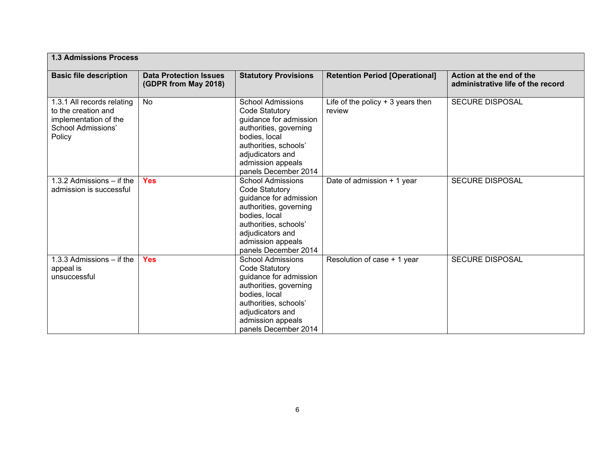| <b>1.3 Admissions Process</b>                                                                              |                                                       |                                                                                                                                                                                                           |                                              |                                                               |  |
|------------------------------------------------------------------------------------------------------------|-------------------------------------------------------|-----------------------------------------------------------------------------------------------------------------------------------------------------------------------------------------------------------|----------------------------------------------|---------------------------------------------------------------|--|
| <b>Basic file description</b>                                                                              | <b>Data Protection Issues</b><br>(GDPR from May 2018) | <b>Statutory Provisions</b>                                                                                                                                                                               | <b>Retention Period [Operational]</b>        | Action at the end of the<br>administrative life of the record |  |
| 1.3.1 All records relating<br>to the creation and<br>implementation of the<br>School Admissions'<br>Policy | <b>No</b>                                             | <b>School Admissions</b><br>Code Statutory<br>guidance for admission<br>authorities, governing<br>bodies, local<br>authorities, schools'<br>adjudicators and<br>admission appeals<br>panels December 2014 | Life of the policy $+3$ years then<br>review | <b>SECURE DISPOSAL</b>                                        |  |
| 1.3.2 Admissions - if the<br>admission is successful                                                       | <b>Yes</b>                                            | <b>School Admissions</b><br>Code Statutory<br>guidance for admission<br>authorities, governing<br>bodies, local<br>authorities, schools'<br>adjudicators and<br>admission appeals<br>panels December 2014 | Date of admission + 1 year                   | <b>SECURE DISPOSAL</b>                                        |  |
| 1.3.3 Admissions - if the<br>appeal is<br>unsuccessful                                                     | <b>Yes</b>                                            | <b>School Admissions</b><br>Code Statutory<br>guidance for admission<br>authorities, governing<br>bodies, local<br>authorities, schools'<br>adjudicators and<br>admission appeals<br>panels December 2014 | Resolution of case + 1 year                  | <b>SECURE DISPOSAL</b>                                        |  |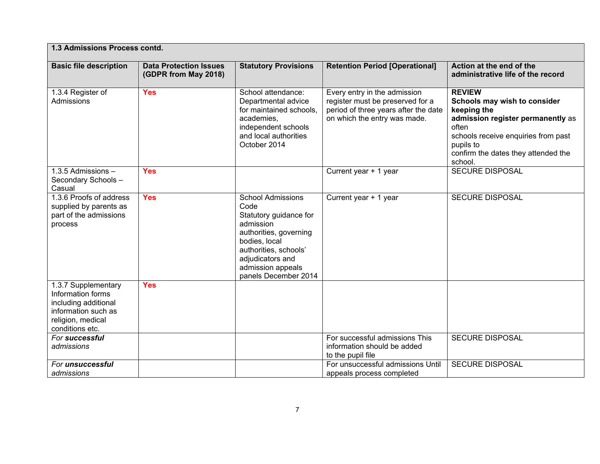| 1.3 Admissions Process contd.                                                                                                   |                                                       |                                                                                                                                                                                                              |                                                                                                                                          |                                                                                                                                                                                                                  |
|---------------------------------------------------------------------------------------------------------------------------------|-------------------------------------------------------|--------------------------------------------------------------------------------------------------------------------------------------------------------------------------------------------------------------|------------------------------------------------------------------------------------------------------------------------------------------|------------------------------------------------------------------------------------------------------------------------------------------------------------------------------------------------------------------|
| <b>Basic file description</b>                                                                                                   | <b>Data Protection Issues</b><br>(GDPR from May 2018) | <b>Statutory Provisions</b>                                                                                                                                                                                  | <b>Retention Period [Operational]</b>                                                                                                    | Action at the end of the<br>administrative life of the record                                                                                                                                                    |
| 1.3.4 Register of<br>Admissions                                                                                                 | <b>Yes</b>                                            | School attendance:<br>Departmental advice<br>for maintained schools,<br>academies,<br>independent schools<br>and local authorities<br>October 2014                                                           | Every entry in the admission<br>register must be preserved for a<br>period of three years after the date<br>on which the entry was made. | <b>REVIEW</b><br>Schools may wish to consider<br>keeping the<br>admission register permanently as<br>often<br>schools receive enquiries from past<br>pupils to<br>confirm the dates they attended the<br>school. |
| 1.3.5 Admissions -<br>Secondary Schools-<br>Casual                                                                              | <b>Yes</b>                                            |                                                                                                                                                                                                              | Current year + 1 year                                                                                                                    | <b>SECURE DISPOSAL</b>                                                                                                                                                                                           |
| 1.3.6 Proofs of address<br>supplied by parents as<br>part of the admissions<br>process                                          | <b>Yes</b>                                            | <b>School Admissions</b><br>Code<br>Statutory guidance for<br>admission<br>authorities, governing<br>bodies, local<br>authorities, schools'<br>adjudicators and<br>admission appeals<br>panels December 2014 | Current year + 1 year                                                                                                                    | <b>SECURE DISPOSAL</b>                                                                                                                                                                                           |
| 1.3.7 Supplementary<br>Information forms<br>including additional<br>information such as<br>religion, medical<br>conditions etc. | <b>Yes</b>                                            |                                                                                                                                                                                                              |                                                                                                                                          |                                                                                                                                                                                                                  |
| For successful<br>admissions                                                                                                    |                                                       |                                                                                                                                                                                                              | For successful admissions This<br>information should be added<br>to the pupil file                                                       | <b>SECURE DISPOSAL</b>                                                                                                                                                                                           |
| For unsuccessful<br>admissions                                                                                                  |                                                       |                                                                                                                                                                                                              | For unsuccessful admissions Until<br>appeals process completed                                                                           | <b>SECURE DISPOSAL</b>                                                                                                                                                                                           |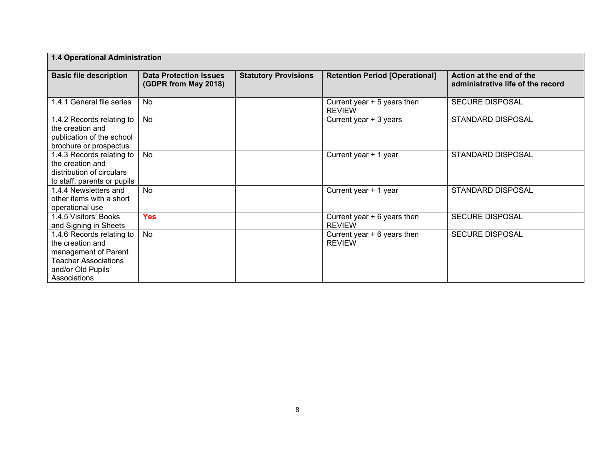| 1.4 Operational Administration                                                                                                            |                                                       |                             |                                                |                                                               |
|-------------------------------------------------------------------------------------------------------------------------------------------|-------------------------------------------------------|-----------------------------|------------------------------------------------|---------------------------------------------------------------|
| <b>Basic file description</b>                                                                                                             | <b>Data Protection Issues</b><br>(GDPR from May 2018) | <b>Statutory Provisions</b> | <b>Retention Period [Operational]</b>          | Action at the end of the<br>administrative life of the record |
| 1.4.1 General file series                                                                                                                 | <b>No</b>                                             |                             | Current year + 5 years then<br><b>REVIEW</b>   | <b>SECURE DISPOSAL</b>                                        |
| 1.4.2 Records relating to<br>the creation and<br>publication of the school<br>brochure or prospectus                                      | <b>No</b>                                             |                             | Current year + 3 years                         | <b>STANDARD DISPOSAL</b>                                      |
| 1.4.3 Records relating to<br>the creation and<br>distribution of circulars<br>to staff, parents or pupils                                 | <b>No</b>                                             |                             | Current year + 1 year                          | <b>STANDARD DISPOSAL</b>                                      |
| 1.4.4 Newsletters and<br>other items with a short<br>operational use                                                                      | <b>No</b>                                             |                             | Current year + 1 year                          | <b>STANDARD DISPOSAL</b>                                      |
| 1.4.5 Visitors' Books<br>and Signing in Sheets                                                                                            | <b>Yes</b>                                            |                             | Current year $+ 6$ years then<br><b>REVIEW</b> | <b>SECURE DISPOSAL</b>                                        |
| 1.4.6 Records relating to<br>the creation and<br>management of Parent<br><b>Teacher Associations</b><br>and/or Old Pupils<br>Associations | <b>No</b>                                             |                             | Current year + 6 years then<br><b>REVIEW</b>   | <b>SECURE DISPOSAL</b>                                        |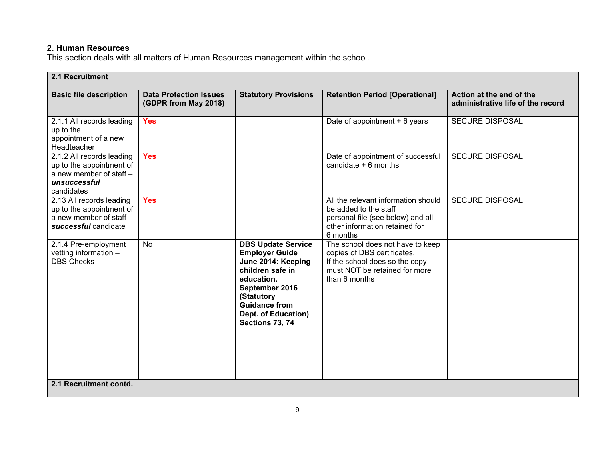# **2. Human Resources**

This section deals with all matters of Human Resources management within the school.

| 2.1 Recruitment                                                                                                |                                                       |                                                                                                                                                                                                              |                                                                                                                                                     |                                                               |  |
|----------------------------------------------------------------------------------------------------------------|-------------------------------------------------------|--------------------------------------------------------------------------------------------------------------------------------------------------------------------------------------------------------------|-----------------------------------------------------------------------------------------------------------------------------------------------------|---------------------------------------------------------------|--|
| <b>Basic file description</b>                                                                                  | <b>Data Protection Issues</b><br>(GDPR from May 2018) | <b>Statutory Provisions</b>                                                                                                                                                                                  | <b>Retention Period [Operational]</b>                                                                                                               | Action at the end of the<br>administrative life of the record |  |
| 2.1.1 All records leading<br>up to the<br>appointment of a new<br>Headteacher                                  | <b>Yes</b>                                            |                                                                                                                                                                                                              | Date of appointment + 6 years                                                                                                                       | <b>SECURE DISPOSAL</b>                                        |  |
| 2.1.2 All records leading<br>up to the appointment of<br>a new member of staff -<br>unsuccessful<br>candidates | <b>Yes</b>                                            |                                                                                                                                                                                                              | Date of appointment of successful<br>candidate $+6$ months                                                                                          | <b>SECURE DISPOSAL</b>                                        |  |
| 2.13 All records leading<br>up to the appointment of<br>a new member of staff -<br>successful candidate        | <b>Yes</b>                                            |                                                                                                                                                                                                              | All the relevant information should<br>be added to the staff<br>personal file (see below) and all<br>other information retained for<br>6 months     | <b>SECURE DISPOSAL</b>                                        |  |
| 2.1.4 Pre-employment<br>vetting information -<br><b>DBS Checks</b>                                             | <b>No</b>                                             | <b>DBS Update Service</b><br><b>Employer Guide</b><br>June 2014: Keeping<br>children safe in<br>education.<br>September 2016<br>(Statutory<br><b>Guidance from</b><br>Dept. of Education)<br>Sections 73, 74 | The school does not have to keep<br>copies of DBS certificates.<br>If the school does so the copy<br>must NOT be retained for more<br>than 6 months |                                                               |  |
| 2.1 Recruitment contd.                                                                                         |                                                       |                                                                                                                                                                                                              |                                                                                                                                                     |                                                               |  |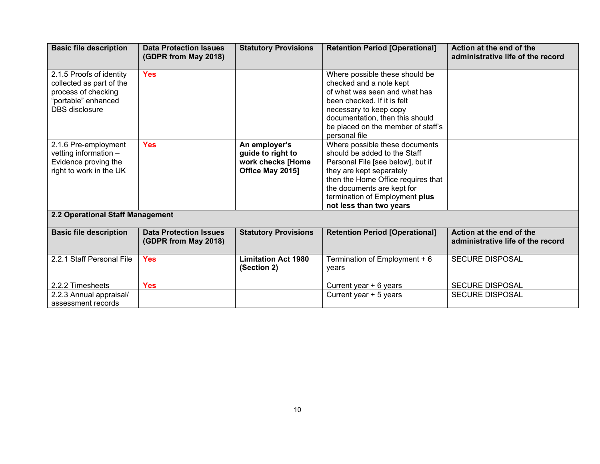| <b>Basic file description</b>                                                                                               | <b>Data Protection Issues</b><br>(GDPR from May 2018) | <b>Statutory Provisions</b>                                                 | <b>Retention Period [Operational]</b>                                                                                                                                                                                                                            | Action at the end of the<br>administrative life of the record |
|-----------------------------------------------------------------------------------------------------------------------------|-------------------------------------------------------|-----------------------------------------------------------------------------|------------------------------------------------------------------------------------------------------------------------------------------------------------------------------------------------------------------------------------------------------------------|---------------------------------------------------------------|
| 2.1.5 Proofs of identity<br>collected as part of the<br>process of checking<br>"portable" enhanced<br><b>DBS</b> disclosure | <b>Yes</b>                                            |                                                                             | Where possible these should be<br>checked and a note kept<br>of what was seen and what has<br>been checked. If it is felt<br>necessary to keep copy<br>documentation, then this should<br>be placed on the member of staff's<br>personal file                    |                                                               |
| 2.1.6 Pre-employment<br>vetting information -<br>Evidence proving the<br>right to work in the UK                            | <b>Yes</b>                                            | An employer's<br>guide to right to<br>work checks [Home<br>Office May 2015] | Where possible these documents<br>should be added to the Staff<br>Personal File [see below], but if<br>they are kept separately<br>then the Home Office requires that<br>the documents are kept for<br>termination of Employment plus<br>not less than two years |                                                               |
| 2.2 Operational Staff Management                                                                                            |                                                       |                                                                             |                                                                                                                                                                                                                                                                  |                                                               |
| <b>Basic file description</b>                                                                                               | <b>Data Protection Issues</b><br>(GDPR from May 2018) | <b>Statutory Provisions</b>                                                 | <b>Retention Period [Operational]</b>                                                                                                                                                                                                                            | Action at the end of the<br>administrative life of the record |
| 2.2.1 Staff Personal File                                                                                                   | <b>Yes</b>                                            | <b>Limitation Act 1980</b><br>(Section 2)                                   | Termination of Employment + 6<br>years                                                                                                                                                                                                                           | <b>SECURE DISPOSAL</b>                                        |
| 2.2.2 Timesheets                                                                                                            | <b>Yes</b>                                            |                                                                             | Current year + 6 years                                                                                                                                                                                                                                           | <b>SECURE DISPOSAL</b>                                        |
| 2.2.3 Annual appraisal/<br>assessment records                                                                               |                                                       |                                                                             | Current year + 5 years                                                                                                                                                                                                                                           | <b>SECURE DISPOSAL</b>                                        |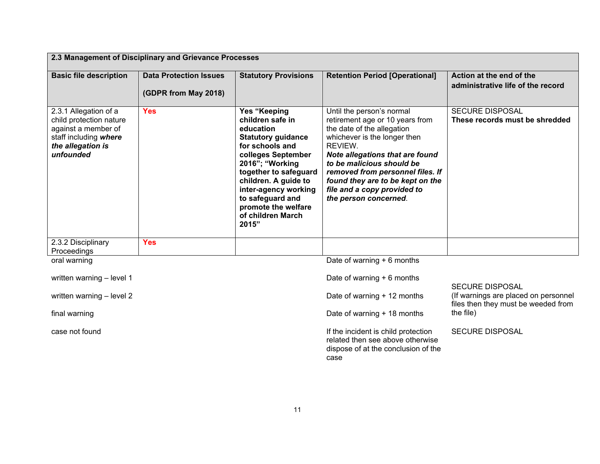| 2.3 Management of Disciplinary and Grievance Processes                                                                             |                                                       |                                                                                                                                                                                                                                                                                          |                                                                                                                                                                                                                                                                                                                                       |                                                                             |
|------------------------------------------------------------------------------------------------------------------------------------|-------------------------------------------------------|------------------------------------------------------------------------------------------------------------------------------------------------------------------------------------------------------------------------------------------------------------------------------------------|---------------------------------------------------------------------------------------------------------------------------------------------------------------------------------------------------------------------------------------------------------------------------------------------------------------------------------------|-----------------------------------------------------------------------------|
| <b>Basic file description</b>                                                                                                      | <b>Data Protection Issues</b><br>(GDPR from May 2018) | <b>Statutory Provisions</b>                                                                                                                                                                                                                                                              | <b>Retention Period [Operational]</b>                                                                                                                                                                                                                                                                                                 | Action at the end of the<br>administrative life of the record               |
| 2.3.1 Allegation of a<br>child protection nature<br>against a member of<br>staff including where<br>the allegation is<br>unfounded | <b>Yes</b>                                            | Yes "Keeping<br>children safe in<br>education<br><b>Statutory guidance</b><br>for schools and<br>colleges September<br>2016"; "Working<br>together to safeguard<br>children. A guide to<br>inter-agency working<br>to safeguard and<br>promote the welfare<br>of children March<br>2015" | Until the person's normal<br>retirement age or 10 years from<br>the date of the allegation<br>whichever is the longer then<br>REVIEW.<br>Note allegations that are found<br>to be malicious should be<br>removed from personnel files. If<br>found they are to be kept on the<br>file and a copy provided to<br>the person concerned. | SECURE DISPOSAL<br>These records must be shredded                           |
| 2.3.2 Disciplinary<br>Proceedings                                                                                                  | <b>Yes</b>                                            |                                                                                                                                                                                                                                                                                          |                                                                                                                                                                                                                                                                                                                                       |                                                                             |
| oral warning                                                                                                                       |                                                       |                                                                                                                                                                                                                                                                                          | Date of warning + 6 months                                                                                                                                                                                                                                                                                                            |                                                                             |
| written warning - level 1                                                                                                          |                                                       |                                                                                                                                                                                                                                                                                          | Date of warning + 6 months                                                                                                                                                                                                                                                                                                            | <b>SECURE DISPOSAL</b>                                                      |
| written warning - level 2                                                                                                          |                                                       |                                                                                                                                                                                                                                                                                          | Date of warning + 12 months                                                                                                                                                                                                                                                                                                           | (If warnings are placed on personnel<br>files then they must be weeded from |
| final warning                                                                                                                      |                                                       |                                                                                                                                                                                                                                                                                          | Date of warning + 18 months                                                                                                                                                                                                                                                                                                           | the file)                                                                   |
| case not found                                                                                                                     |                                                       |                                                                                                                                                                                                                                                                                          | If the incident is child protection<br>related then see above otherwise<br>dispose of at the conclusion of the<br>case                                                                                                                                                                                                                | <b>SECURE DISPOSAL</b>                                                      |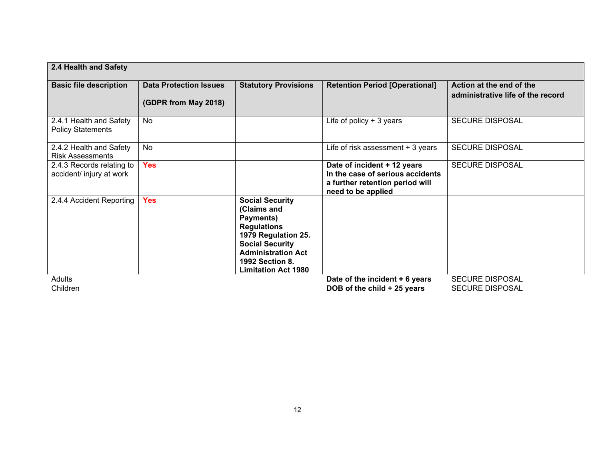| 2.4 Health and Safety                                 |                                                       |                                                                                                                                                                                                                |                                                                                                                          |                                                               |
|-------------------------------------------------------|-------------------------------------------------------|----------------------------------------------------------------------------------------------------------------------------------------------------------------------------------------------------------------|--------------------------------------------------------------------------------------------------------------------------|---------------------------------------------------------------|
| <b>Basic file description</b>                         | <b>Data Protection Issues</b><br>(GDPR from May 2018) | <b>Statutory Provisions</b>                                                                                                                                                                                    | <b>Retention Period [Operational]</b>                                                                                    | Action at the end of the<br>administrative life of the record |
| 2.4.1 Health and Safety<br><b>Policy Statements</b>   | No                                                    |                                                                                                                                                                                                                | Life of policy $+3$ years                                                                                                | <b>SECURE DISPOSAL</b>                                        |
| 2.4.2 Health and Safety<br><b>Risk Assessments</b>    | No                                                    |                                                                                                                                                                                                                | Life of risk assessment $+3$ years                                                                                       | <b>SECURE DISPOSAL</b>                                        |
| 2.4.3 Records relating to<br>accident/ injury at work | <b>Yes</b>                                            |                                                                                                                                                                                                                | Date of incident + 12 years<br>In the case of serious accidents<br>a further retention period will<br>need to be applied | <b>SECURE DISPOSAL</b>                                        |
| 2.4.4 Accident Reporting                              | Yes                                                   | <b>Social Security</b><br>(Claims and<br>Payments)<br><b>Regulations</b><br>1979 Regulation 25.<br><b>Social Security</b><br><b>Administration Act</b><br><b>1992 Section 8.</b><br><b>Limitation Act 1980</b> |                                                                                                                          |                                                               |
| Adults                                                |                                                       |                                                                                                                                                                                                                | Date of the incident + 6 years                                                                                           | <b>SECURE DISPOSAL</b>                                        |
| Children                                              |                                                       |                                                                                                                                                                                                                | DOB of the child + 25 years                                                                                              | <b>SECURE DISPOSAL</b>                                        |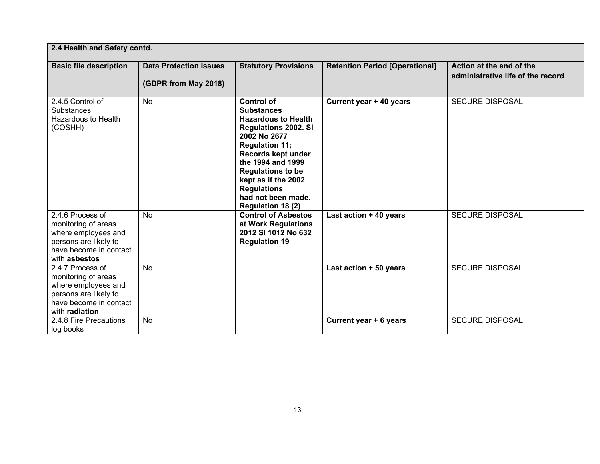| 2.4 Health and Safety contd.                                                                                                               |                                                       |                                                                                                                                                                                                                                                                                                      |                                       |                                                               |
|--------------------------------------------------------------------------------------------------------------------------------------------|-------------------------------------------------------|------------------------------------------------------------------------------------------------------------------------------------------------------------------------------------------------------------------------------------------------------------------------------------------------------|---------------------------------------|---------------------------------------------------------------|
| <b>Basic file description</b>                                                                                                              | <b>Data Protection Issues</b><br>(GDPR from May 2018) | <b>Statutory Provisions</b>                                                                                                                                                                                                                                                                          | <b>Retention Period [Operational]</b> | Action at the end of the<br>administrative life of the record |
| 2.4.5 Control of<br><b>Substances</b><br><b>Hazardous to Health</b><br>(COSHH)                                                             | <b>No</b>                                             | <b>Control of</b><br><b>Substances</b><br><b>Hazardous to Health</b><br>Regulations 2002. SI<br>2002 No 2677<br><b>Regulation 11;</b><br>Records kept under<br>the 1994 and 1999<br><b>Regulations to be</b><br>kept as if the 2002<br><b>Regulations</b><br>had not been made.<br>Regulation 18 (2) | Current year + 40 years               | <b>SECURE DISPOSAL</b>                                        |
| 2.4.6 Process of<br>monitoring of areas<br>where employees and<br>persons are likely to<br>have become in contact<br>with asbestos         | <b>No</b>                                             | <b>Control of Asbestos</b><br>at Work Regulations<br>2012 SI 1012 No 632<br><b>Regulation 19</b>                                                                                                                                                                                                     | Last action + 40 years                | <b>SECURE DISPOSAL</b>                                        |
| 2.4.7 Process of<br>monitoring of areas<br>where employees and<br>persons are likely to<br>have become in contact<br>with <b>radiation</b> | <b>No</b>                                             |                                                                                                                                                                                                                                                                                                      | Last action + 50 years                | <b>SECURE DISPOSAL</b>                                        |
| 2.4.8 Fire Precautions<br>log books                                                                                                        | <b>No</b>                                             |                                                                                                                                                                                                                                                                                                      | Current year + 6 years                | <b>SECURE DISPOSAL</b>                                        |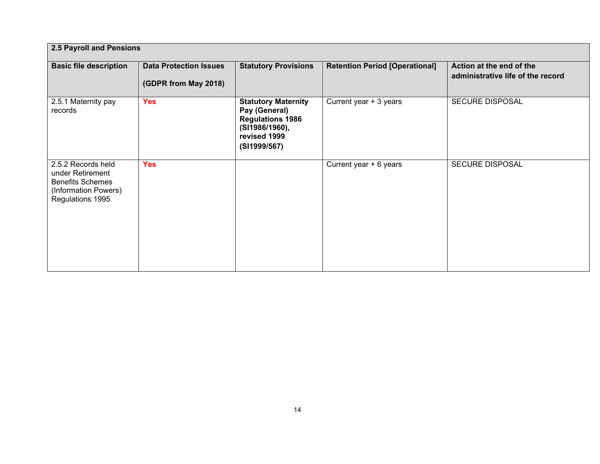| 2.5 Payroll and Pensions                                                                                      |                                                       |                                                                                                                          |                                       |                                                               |
|---------------------------------------------------------------------------------------------------------------|-------------------------------------------------------|--------------------------------------------------------------------------------------------------------------------------|---------------------------------------|---------------------------------------------------------------|
| <b>Basic file description</b>                                                                                 | <b>Data Protection Issues</b><br>(GDPR from May 2018) | <b>Statutory Provisions</b>                                                                                              | <b>Retention Period [Operational]</b> | Action at the end of the<br>administrative life of the record |
| 2.5.1 Maternity pay<br>records                                                                                | <b>Yes</b>                                            | <b>Statutory Maternity</b><br>Pay (General)<br><b>Regulations 1986</b><br>(SI1986/1960),<br>revised 1999<br>(SI1999/567) | Current year + 3 years                | <b>SECURE DISPOSAL</b>                                        |
| 2.5.2 Records held<br>under Retirement<br><b>Benefits Schemes</b><br>(Information Powers)<br>Regulations 1995 | <b>Yes</b>                                            |                                                                                                                          | Current year + 6 years                | <b>SECURE DISPOSAL</b>                                        |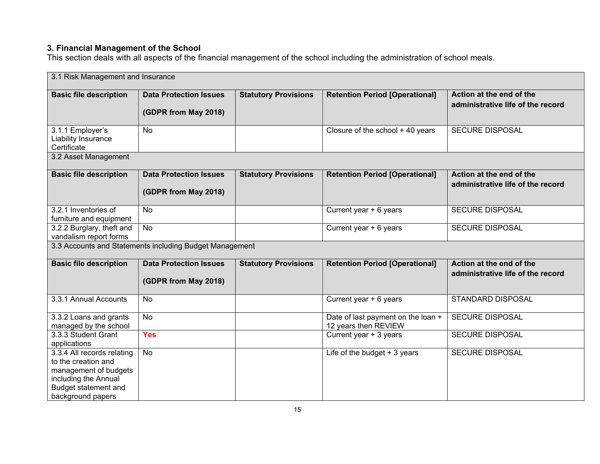# **3. Financial Management of the School**

This section deals with all aspects of the financial management of the school including the administration of school meals.

| 3.1 Risk Management and Insurance                                                                                                               |                                                         |                             |                                                            |                                                               |
|-------------------------------------------------------------------------------------------------------------------------------------------------|---------------------------------------------------------|-----------------------------|------------------------------------------------------------|---------------------------------------------------------------|
| <b>Basic file description</b>                                                                                                                   | <b>Data Protection Issues</b><br>(GDPR from May 2018)   | <b>Statutory Provisions</b> | <b>Retention Period [Operational]</b>                      | Action at the end of the<br>administrative life of the record |
| 3.1.1 Employer's<br>Liability Insurance<br>Certificate                                                                                          | <b>No</b>                                               |                             | Closure of the school $+$ 40 years                         | <b>SECURE DISPOSAL</b>                                        |
| 3.2 Asset Management                                                                                                                            |                                                         |                             |                                                            |                                                               |
| <b>Basic file description</b>                                                                                                                   | <b>Data Protection Issues</b><br>(GDPR from May 2018)   | <b>Statutory Provisions</b> | <b>Retention Period [Operational]</b>                      | Action at the end of the<br>administrative life of the record |
| 3.2.1 Inventories of<br>furniture and equipment                                                                                                 | <b>No</b>                                               |                             | Current year + 6 years                                     | <b>SECURE DISPOSAL</b>                                        |
| 3.2.2 Burglary, theft and<br>vandalism report forms                                                                                             | <b>No</b>                                               |                             | Current year + 6 years                                     | <b>SECURE DISPOSAL</b>                                        |
|                                                                                                                                                 | 3.3 Accounts and Statements including Budget Management |                             |                                                            |                                                               |
| <b>Basic file description</b>                                                                                                                   | <b>Data Protection Issues</b><br>(GDPR from May 2018)   | <b>Statutory Provisions</b> | <b>Retention Period [Operational]</b>                      | Action at the end of the<br>administrative life of the record |
| 3.3.1 Annual Accounts                                                                                                                           | No                                                      |                             | Current year + 6 years                                     | <b>STANDARD DISPOSAL</b>                                      |
| 3.3.2 Loans and grants<br>managed by the school                                                                                                 | <b>No</b>                                               |                             | Date of last payment on the loan +<br>12 years then REVIEW | <b>SECURE DISPOSAL</b>                                        |
| 3.3.3 Student Grant<br>applications                                                                                                             | <b>Yes</b>                                              |                             | Current year + 3 years                                     | <b>SECURE DISPOSAL</b>                                        |
| 3.3.4 All records relating<br>to the creation and<br>management of budgets<br>including the Annual<br>Budget statement and<br>background papers | No                                                      |                             | Life of the budget $+3$ years                              | <b>SECURE DISPOSAL</b>                                        |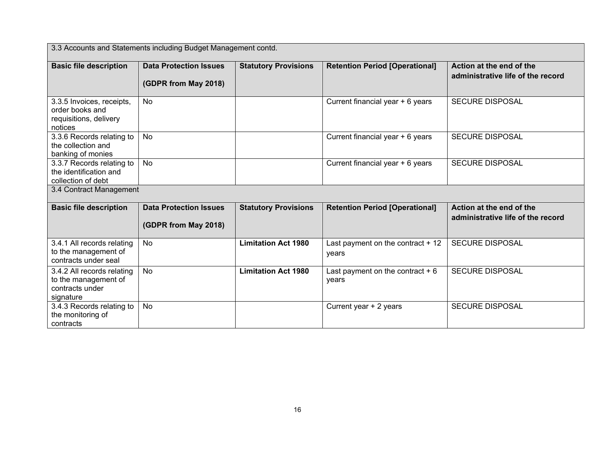| 3.3 Accounts and Statements including Budget Management contd.                     |                                                       |                             |                                             |                                                               |  |
|------------------------------------------------------------------------------------|-------------------------------------------------------|-----------------------------|---------------------------------------------|---------------------------------------------------------------|--|
| <b>Basic file description</b>                                                      | <b>Data Protection Issues</b><br>(GDPR from May 2018) | <b>Statutory Provisions</b> | <b>Retention Period [Operational]</b>       | Action at the end of the<br>administrative life of the record |  |
| 3.3.5 Invoices, receipts,<br>order books and<br>requisitions, delivery<br>notices  | No                                                    |                             | Current financial year + 6 years            | <b>SECURE DISPOSAL</b>                                        |  |
| 3.3.6 Records relating to<br>the collection and<br>banking of monies               | <b>No</b>                                             |                             | Current financial year + 6 years            | <b>SECURE DISPOSAL</b>                                        |  |
| 3.3.7 Records relating to<br>the identification and<br>collection of debt          | <b>No</b>                                             |                             | Current financial year + 6 years            | <b>SECURE DISPOSAL</b>                                        |  |
| 3.4 Contract Management                                                            |                                                       |                             |                                             |                                                               |  |
| <b>Basic file description</b>                                                      | <b>Data Protection Issues</b><br>(GDPR from May 2018) | <b>Statutory Provisions</b> | <b>Retention Period [Operational]</b>       | Action at the end of the<br>administrative life of the record |  |
| 3.4.1 All records relating<br>to the management of<br>contracts under seal         | <b>No</b>                                             | <b>Limitation Act 1980</b>  | Last payment on the contract $+12$<br>years | <b>SECURE DISPOSAL</b>                                        |  |
| 3.4.2 All records relating<br>to the management of<br>contracts under<br>signature | <b>No</b>                                             | <b>Limitation Act 1980</b>  | Last payment on the contract $+6$<br>years  | <b>SECURE DISPOSAL</b>                                        |  |
| 3.4.3 Records relating to<br>the monitoring of<br>contracts                        | No                                                    |                             | Current year + 2 years                      | <b>SECURE DISPOSAL</b>                                        |  |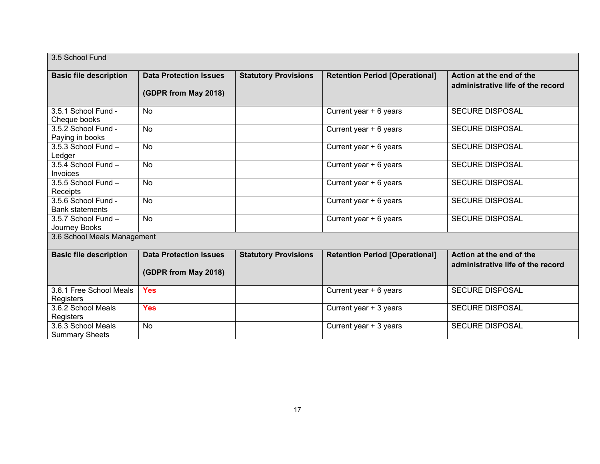| 3.5 School Fund                               |                                                       |                             |                                       |                                                               |  |
|-----------------------------------------------|-------------------------------------------------------|-----------------------------|---------------------------------------|---------------------------------------------------------------|--|
| <b>Basic file description</b>                 | <b>Data Protection Issues</b><br>(GDPR from May 2018) | <b>Statutory Provisions</b> | <b>Retention Period [Operational]</b> | Action at the end of the<br>administrative life of the record |  |
| 3.5.1 School Fund -<br>Cheque books           | No                                                    |                             | Current year + 6 years                | <b>SECURE DISPOSAL</b>                                        |  |
| 3.5.2 School Fund -<br>Paying in books        | <b>No</b>                                             |                             | Current year + 6 years                | <b>SECURE DISPOSAL</b>                                        |  |
| $3.5.3$ School Fund $-$<br>Ledger             | <b>No</b>                                             |                             | Current year + 6 years                | <b>SECURE DISPOSAL</b>                                        |  |
| 3.5.4 School Fund -<br>Invoices               | <b>No</b>                                             |                             | Current year + 6 years                | <b>SECURE DISPOSAL</b>                                        |  |
| $3.5.5$ School Fund $-$<br>Receipts           | No                                                    |                             | Current year + 6 years                | <b>SECURE DISPOSAL</b>                                        |  |
| 3.5.6 School Fund -<br><b>Bank statements</b> | No                                                    |                             | Current year + 6 years                | <b>SECURE DISPOSAL</b>                                        |  |
| $3.5.7$ School Fund $-$<br>Journey Books      | No                                                    |                             | Current year + 6 years                | <b>SECURE DISPOSAL</b>                                        |  |
| 3.6 School Meals Management                   |                                                       |                             |                                       |                                                               |  |
| <b>Basic file description</b>                 | <b>Data Protection Issues</b><br>(GDPR from May 2018) | <b>Statutory Provisions</b> | <b>Retention Period [Operational]</b> | Action at the end of the<br>administrative life of the record |  |
| 3.6.1 Free School Meals<br>Registers          | <b>Yes</b>                                            |                             | Current year + 6 years                | <b>SECURE DISPOSAL</b>                                        |  |
| 3.6.2 School Meals<br>Registers               | <b>Yes</b>                                            |                             | Current year + 3 years                | <b>SECURE DISPOSAL</b>                                        |  |
| 3.6.3 School Meals<br><b>Summary Sheets</b>   | No                                                    |                             | Current year + 3 years                | <b>SECURE DISPOSAL</b>                                        |  |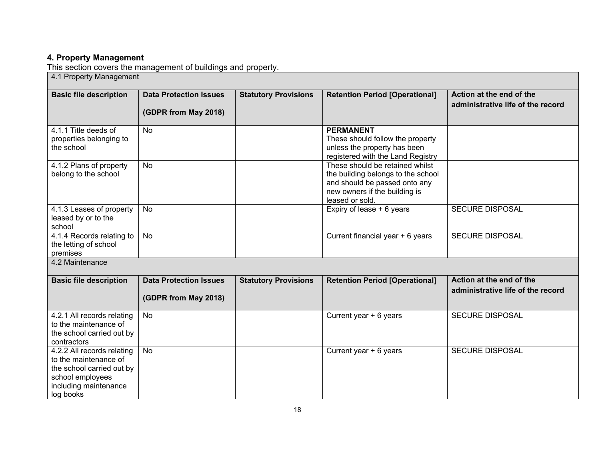#### **4. Property Management**

This section covers the management of buildings and property.

4.1 Property Management

| <b>Basic file description</b>                                                                                                              | <b>Data Protection Issues</b><br>(GDPR from May 2018) | <b>Statutory Provisions</b> | <b>Retention Period [Operational]</b>                                                                                                                      | Action at the end of the<br>administrative life of the record |  |  |
|--------------------------------------------------------------------------------------------------------------------------------------------|-------------------------------------------------------|-----------------------------|------------------------------------------------------------------------------------------------------------------------------------------------------------|---------------------------------------------------------------|--|--|
| $\overline{4.1}$ .1 Title deeds of<br>properties belonging to<br>the school                                                                | <b>No</b>                                             |                             | <b>PERMANENT</b><br>These should follow the property<br>unless the property has been<br>registered with the Land Registry                                  |                                                               |  |  |
| 4.1.2 Plans of property<br>belong to the school                                                                                            | <b>No</b>                                             |                             | These should be retained whilst<br>the building belongs to the school<br>and should be passed onto any<br>new owners if the building is<br>leased or sold. |                                                               |  |  |
| 4.1.3 Leases of property<br>leased by or to the<br>school                                                                                  | <b>No</b>                                             |                             | Expiry of lease + 6 years                                                                                                                                  | <b>SECURE DISPOSAL</b>                                        |  |  |
| 4.1.4 Records relating to<br>the letting of school<br>premises                                                                             | <b>No</b>                                             |                             | Current financial year + 6 years                                                                                                                           | <b>SECURE DISPOSAL</b>                                        |  |  |
| 4.2 Maintenance                                                                                                                            |                                                       |                             |                                                                                                                                                            |                                                               |  |  |
| <b>Basic file description</b>                                                                                                              | <b>Data Protection Issues</b><br>(GDPR from May 2018) | <b>Statutory Provisions</b> | <b>Retention Period [Operational]</b>                                                                                                                      | Action at the end of the<br>administrative life of the record |  |  |
| 4.2.1 All records relating<br>to the maintenance of<br>the school carried out by<br>contractors                                            | <b>No</b>                                             |                             | Current year + 6 years                                                                                                                                     | <b>SECURE DISPOSAL</b>                                        |  |  |
| 4.2.2 All records relating<br>to the maintenance of<br>the school carried out by<br>school employees<br>including maintenance<br>log books | <b>No</b>                                             |                             | Current year + 6 years                                                                                                                                     | <b>SECURE DISPOSAL</b>                                        |  |  |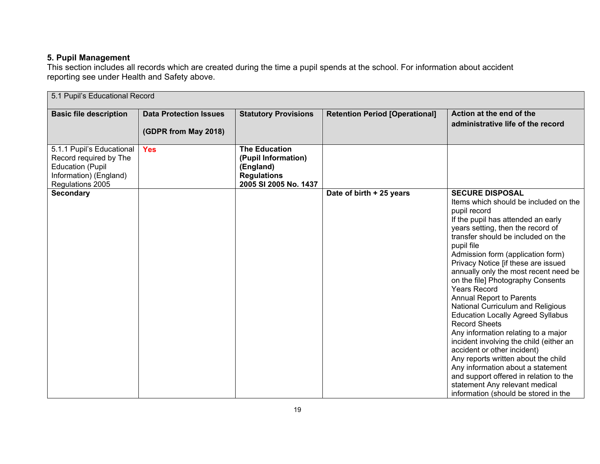# **5. Pupil Management**

This section includes all records which are created during the time a pupil spends at the school. For information about accident reporting see under Health and Safety above.

| 5.1 Pupil's Educational Record                                                                                               |                                                       |                                                                                                         |                                       |                                                                                                                                                                                                                                                                                                                                                                                                                                                                                                                                                                                                                                                                                                                                                                                                                                                              |
|------------------------------------------------------------------------------------------------------------------------------|-------------------------------------------------------|---------------------------------------------------------------------------------------------------------|---------------------------------------|--------------------------------------------------------------------------------------------------------------------------------------------------------------------------------------------------------------------------------------------------------------------------------------------------------------------------------------------------------------------------------------------------------------------------------------------------------------------------------------------------------------------------------------------------------------------------------------------------------------------------------------------------------------------------------------------------------------------------------------------------------------------------------------------------------------------------------------------------------------|
| <b>Basic file description</b>                                                                                                | <b>Data Protection Issues</b><br>(GDPR from May 2018) | <b>Statutory Provisions</b>                                                                             | <b>Retention Period [Operational]</b> | Action at the end of the<br>administrative life of the record                                                                                                                                                                                                                                                                                                                                                                                                                                                                                                                                                                                                                                                                                                                                                                                                |
| 5.1.1 Pupil's Educational<br>Record required by The<br><b>Education (Pupil</b><br>Information) (England)<br>Regulations 2005 | <b>Yes</b>                                            | <b>The Education</b><br>(Pupil Information)<br>(England)<br><b>Regulations</b><br>2005 SI 2005 No. 1437 |                                       |                                                                                                                                                                                                                                                                                                                                                                                                                                                                                                                                                                                                                                                                                                                                                                                                                                                              |
| <b>Secondary</b>                                                                                                             |                                                       |                                                                                                         | Date of birth + 25 years              | <b>SECURE DISPOSAL</b><br>Items which should be included on the<br>pupil record<br>If the pupil has attended an early<br>years setting, then the record of<br>transfer should be included on the<br>pupil file<br>Admission form (application form)<br>Privacy Notice [if these are issued<br>annually only the most recent need be<br>on the file] Photography Consents<br><b>Years Record</b><br><b>Annual Report to Parents</b><br>National Curriculum and Religious<br><b>Education Locally Agreed Syllabus</b><br><b>Record Sheets</b><br>Any information relating to a major<br>incident involving the child (either an<br>accident or other incident)<br>Any reports written about the child<br>Any information about a statement<br>and support offered in relation to the<br>statement Any relevant medical<br>information (should be stored in the |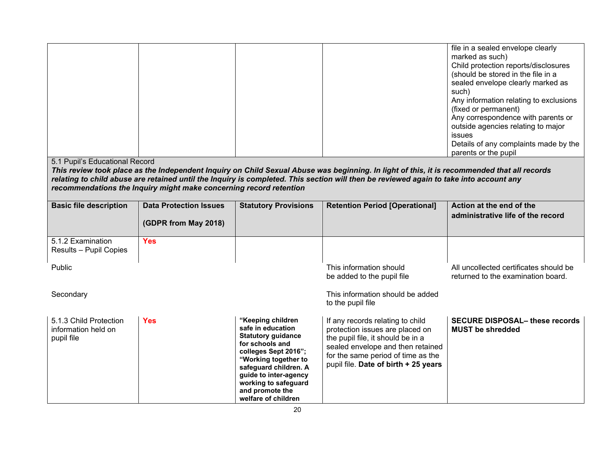|                                                             |                                                                    |                                                                                                                                                                                                                                                            |                                                                                                                                                                                                                                                                                       | file in a sealed envelope clearly<br>marked as such)<br>Child protection reports/disclosures<br>(should be stored in the file in a<br>sealed envelope clearly marked as<br>such)<br>Any information relating to exclusions<br>(fixed or permanent)<br>Any correspondence with parents or<br>outside agencies relating to major<br>issues<br>Details of any complaints made by the<br>parents or the pupil |
|-------------------------------------------------------------|--------------------------------------------------------------------|------------------------------------------------------------------------------------------------------------------------------------------------------------------------------------------------------------------------------------------------------------|---------------------------------------------------------------------------------------------------------------------------------------------------------------------------------------------------------------------------------------------------------------------------------------|-----------------------------------------------------------------------------------------------------------------------------------------------------------------------------------------------------------------------------------------------------------------------------------------------------------------------------------------------------------------------------------------------------------|
| 5.1 Pupil's Educational Record                              |                                                                    |                                                                                                                                                                                                                                                            |                                                                                                                                                                                                                                                                                       |                                                                                                                                                                                                                                                                                                                                                                                                           |
|                                                             |                                                                    |                                                                                                                                                                                                                                                            | This review took place as the Independent Inquiry on Child Sexual Abuse was beginning. In light of this, it is recommended that all records<br>relating to child abuse are retained until the Inquiry is completed. This section will then be reviewed again to take into account any |                                                                                                                                                                                                                                                                                                                                                                                                           |
|                                                             | recommendations the Inquiry might make concerning record retention |                                                                                                                                                                                                                                                            |                                                                                                                                                                                                                                                                                       |                                                                                                                                                                                                                                                                                                                                                                                                           |
| <b>Basic file description</b>                               | <b>Data Protection Issues</b>                                      | <b>Statutory Provisions</b>                                                                                                                                                                                                                                | <b>Retention Period [Operational]</b>                                                                                                                                                                                                                                                 | Action at the end of the                                                                                                                                                                                                                                                                                                                                                                                  |
|                                                             |                                                                    |                                                                                                                                                                                                                                                            |                                                                                                                                                                                                                                                                                       | administrative life of the record                                                                                                                                                                                                                                                                                                                                                                         |
|                                                             | (GDPR from May 2018)                                               |                                                                                                                                                                                                                                                            |                                                                                                                                                                                                                                                                                       |                                                                                                                                                                                                                                                                                                                                                                                                           |
| 5.1.2 Examination<br>Results - Pupil Copies                 | <b>Yes</b>                                                         |                                                                                                                                                                                                                                                            |                                                                                                                                                                                                                                                                                       |                                                                                                                                                                                                                                                                                                                                                                                                           |
| Public                                                      |                                                                    |                                                                                                                                                                                                                                                            | This information should<br>be added to the pupil file                                                                                                                                                                                                                                 | All uncollected certificates should be<br>returned to the examination board.                                                                                                                                                                                                                                                                                                                              |
| Secondary                                                   |                                                                    |                                                                                                                                                                                                                                                            | This information should be added<br>to the pupil file                                                                                                                                                                                                                                 |                                                                                                                                                                                                                                                                                                                                                                                                           |
| 5.1.3 Child Protection<br>information held on<br>pupil file | <b>Yes</b>                                                         | "Keeping children<br>safe in education<br><b>Statutory guidance</b><br>for schools and<br>colleges Sept 2016";<br>"Working together to<br>safeguard children. A<br>guide to inter-agency<br>working to safeguard<br>and promote the<br>welfare of children | If any records relating to child<br>protection issues are placed on<br>the pupil file, it should be in a<br>sealed envelope and then retained<br>for the same period of time as the<br>pupil file. Date of birth + 25 years                                                           | <b>SECURE DISPOSAL- these records</b><br><b>MUST be shredded</b>                                                                                                                                                                                                                                                                                                                                          |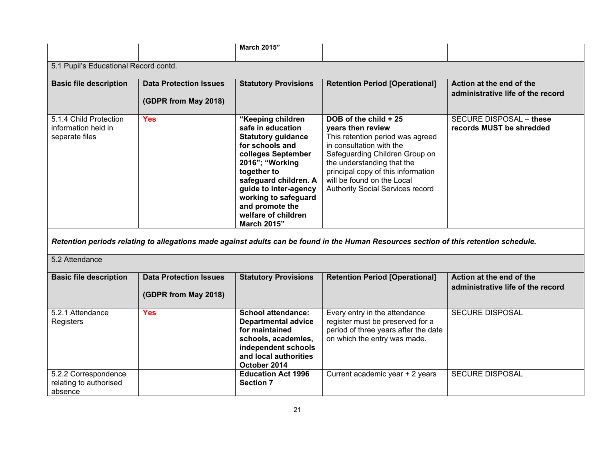|                                                                 |                                                       | <b>March 2015"</b>                                                                                                                                                                                                                                                                       |                                                                                                                                                                                                                                                                                                                                                                                                                                    |                                                               |  |  |
|-----------------------------------------------------------------|-------------------------------------------------------|------------------------------------------------------------------------------------------------------------------------------------------------------------------------------------------------------------------------------------------------------------------------------------------|------------------------------------------------------------------------------------------------------------------------------------------------------------------------------------------------------------------------------------------------------------------------------------------------------------------------------------------------------------------------------------------------------------------------------------|---------------------------------------------------------------|--|--|
| 5.1 Pupil's Educational Record contd.                           |                                                       |                                                                                                                                                                                                                                                                                          |                                                                                                                                                                                                                                                                                                                                                                                                                                    |                                                               |  |  |
| <b>Basic file description</b>                                   | <b>Data Protection Issues</b><br>(GDPR from May 2018) | <b>Statutory Provisions</b>                                                                                                                                                                                                                                                              | <b>Retention Period [Operational]</b>                                                                                                                                                                                                                                                                                                                                                                                              | Action at the end of the<br>administrative life of the record |  |  |
| 5.1.4 Child Protection<br>information held in<br>separate files | <b>Yes</b>                                            | "Keeping children<br>safe in education<br><b>Statutory guidance</b><br>for schools and<br>colleges September<br>2016"; "Working<br>together to<br>safeguard children. A<br>guide to inter-agency<br>working to safeguard<br>and promote the<br>welfare of children<br><b>March 2015"</b> | DOB of the child + 25<br>years then review<br>This retention period was agreed<br>in consultation with the<br>Safeguarding Children Group on<br>the understanding that the<br>principal copy of this information<br>will be found on the Local<br><b>Authority Social Services record</b><br>Retention periods relating to allegations made against adults can be found in the Human Resources section of this retention schedule. | <b>SECURE DISPOSAL - these</b><br>records MUST be shredded    |  |  |
| 5.2 Attendance                                                  |                                                       |                                                                                                                                                                                                                                                                                          |                                                                                                                                                                                                                                                                                                                                                                                                                                    |                                                               |  |  |
| <b>Basic file description</b>                                   | <b>Data Protection Issues</b><br>(GDPR from May 2018) | <b>Statutory Provisions</b>                                                                                                                                                                                                                                                              | <b>Retention Period [Operational]</b>                                                                                                                                                                                                                                                                                                                                                                                              | Action at the end of the<br>administrative life of the record |  |  |
| 5.2.1 Attendance<br>Registers                                   | <b>Yes</b>                                            | <b>School attendance:</b><br><b>Departmental advice</b><br>for maintained<br>schools, academies,<br>independent schools<br>and local authorities<br>October 2014                                                                                                                         | Every entry in the attendance<br>register must be preserved for a<br>period of three years after the date<br>on which the entry was made.                                                                                                                                                                                                                                                                                          | <b>SECURE DISPOSAL</b>                                        |  |  |
| 5.2.2 Correspondence<br>relating to authorised<br>absence       |                                                       | <b>Education Act 1996</b><br><b>Section 7</b>                                                                                                                                                                                                                                            | Current academic year + 2 years                                                                                                                                                                                                                                                                                                                                                                                                    | <b>SECURE DISPOSAL</b>                                        |  |  |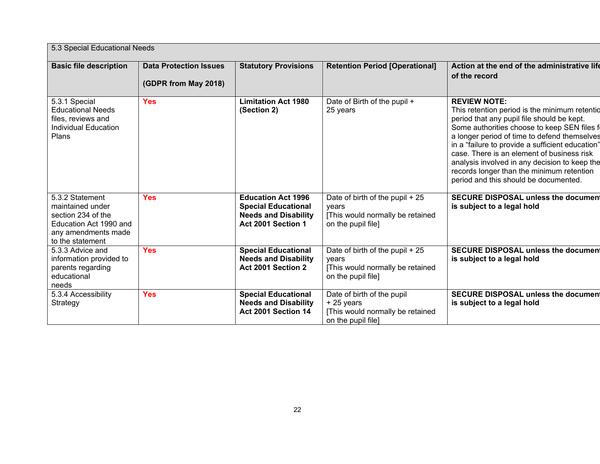| 5.3 Special Educational Needs                                                                                                  |                                                       |                                                                                                              |                                                                                                    |                                                                                                                                                                                                                                                                                                                                                                                                                                                            |  |
|--------------------------------------------------------------------------------------------------------------------------------|-------------------------------------------------------|--------------------------------------------------------------------------------------------------------------|----------------------------------------------------------------------------------------------------|------------------------------------------------------------------------------------------------------------------------------------------------------------------------------------------------------------------------------------------------------------------------------------------------------------------------------------------------------------------------------------------------------------------------------------------------------------|--|
| <b>Basic file description</b>                                                                                                  | <b>Data Protection Issues</b><br>(GDPR from May 2018) | <b>Statutory Provisions</b>                                                                                  | <b>Retention Period [Operational]</b>                                                              | Action at the end of the administrative life<br>of the record                                                                                                                                                                                                                                                                                                                                                                                              |  |
| 5.3.1 Special<br><b>Educational Needs</b><br>files, reviews and<br>Individual Education<br>Plans                               | <b>Yes</b>                                            | <b>Limitation Act 1980</b><br>(Section 2)                                                                    | Date of Birth of the pupil +<br>25 years                                                           | <b>REVIEW NOTE:</b><br>This retention period is the minimum retentio<br>period that any pupil file should be kept.<br>Some authorities choose to keep SEN files f<br>a longer period of time to defend themselves<br>in a "failure to provide a sufficient education"<br>case. There is an element of business risk<br>analysis involved in any decision to keep the<br>records longer than the minimum retention<br>period and this should be documented. |  |
| 5.3.2 Statement<br>maintained under<br>section 234 of the<br>Education Act 1990 and<br>any amendments made<br>to the statement | <b>Yes</b>                                            | <b>Education Act 1996</b><br><b>Special Educational</b><br><b>Needs and Disability</b><br>Act 2001 Section 1 | Date of birth of the pupil + 25<br>years<br>[This would normally be retained<br>on the pupil file] | <b>SECURE DISPOSAL unless the document</b><br>is subject to a legal hold                                                                                                                                                                                                                                                                                                                                                                                   |  |
| 5.3.3 Advice and<br>information provided to<br>parents regarding<br>educational<br>needs                                       | <b>Yes</b>                                            | <b>Special Educational</b><br><b>Needs and Disability</b><br>Act 2001 Section 2                              | Date of birth of the pupil + 25<br>years<br>[This would normally be retained<br>on the pupil file] | <b>SECURE DISPOSAL unless the document</b><br>is subject to a legal hold                                                                                                                                                                                                                                                                                                                                                                                   |  |
| 5.3.4 Accessibility<br>Strategy                                                                                                | <b>Yes</b>                                            | <b>Special Educational</b><br><b>Needs and Disability</b><br>Act 2001 Section 14                             | Date of birth of the pupil<br>+25 years<br>[This would normally be retained<br>on the pupil file]  | <b>SECURE DISPOSAL unless the document</b><br>is subject to a legal hold                                                                                                                                                                                                                                                                                                                                                                                   |  |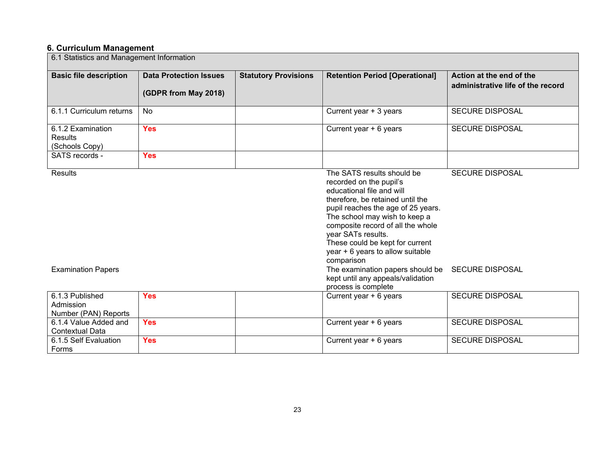# **6. Curriculum Management**

| 6.1 Statistics and Management Information            |                                                       |                             |                                                                                                                                                                                                                                                                                                                                               |                                                               |
|------------------------------------------------------|-------------------------------------------------------|-----------------------------|-----------------------------------------------------------------------------------------------------------------------------------------------------------------------------------------------------------------------------------------------------------------------------------------------------------------------------------------------|---------------------------------------------------------------|
| <b>Basic file description</b>                        | <b>Data Protection Issues</b><br>(GDPR from May 2018) | <b>Statutory Provisions</b> | <b>Retention Period [Operational]</b>                                                                                                                                                                                                                                                                                                         | Action at the end of the<br>administrative life of the record |
| 6.1.1 Curriculum returns                             | N <sub>o</sub>                                        |                             | Current year + 3 years                                                                                                                                                                                                                                                                                                                        | <b>SECURE DISPOSAL</b>                                        |
| 6.1.2 Examination<br>Results<br>(Schools Copy)       | <b>Yes</b>                                            |                             | Current year + 6 years                                                                                                                                                                                                                                                                                                                        | <b>SECURE DISPOSAL</b>                                        |
| SATS records -                                       | <b>Yes</b>                                            |                             |                                                                                                                                                                                                                                                                                                                                               |                                                               |
| <b>Results</b>                                       |                                                       |                             | The SATS results should be<br>recorded on the pupil's<br>educational file and will<br>therefore, be retained until the<br>pupil reaches the age of 25 years.<br>The school may wish to keep a<br>composite record of all the whole<br>year SATs results.<br>These could be kept for current<br>year + 6 years to allow suitable<br>comparison | <b>SECURE DISPOSAL</b>                                        |
| <b>Examination Papers</b>                            |                                                       |                             | The examination papers should be<br>kept until any appeals/validation<br>process is complete                                                                                                                                                                                                                                                  | <b>SECURE DISPOSAL</b>                                        |
| 6.1.3 Published<br>Admission<br>Number (PAN) Reports | <b>Yes</b>                                            |                             | Current year + 6 years                                                                                                                                                                                                                                                                                                                        | <b>SECURE DISPOSAL</b>                                        |
| 6.1.4 Value Added and<br><b>Contextual Data</b>      | <b>Yes</b>                                            |                             | Current year + 6 years                                                                                                                                                                                                                                                                                                                        | <b>SECURE DISPOSAL</b>                                        |
| 6.1.5 Self Evaluation<br>Forms                       | <b>Yes</b>                                            |                             | Current year + 6 years                                                                                                                                                                                                                                                                                                                        | <b>SECURE DISPOSAL</b>                                        |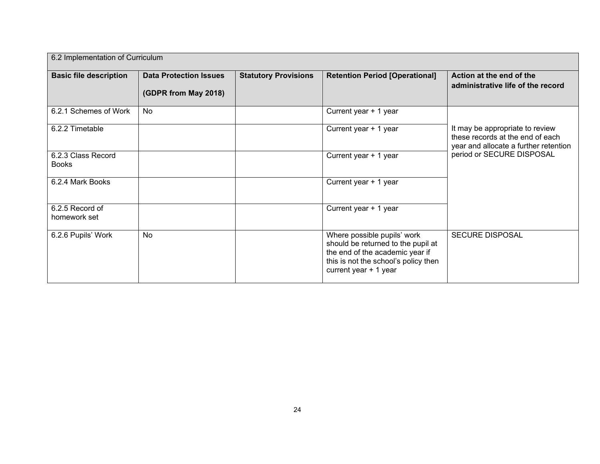| 6.2 Implementation of Curriculum   |                                                       |                             |                                                                                                                                                                       |                                                                                                              |
|------------------------------------|-------------------------------------------------------|-----------------------------|-----------------------------------------------------------------------------------------------------------------------------------------------------------------------|--------------------------------------------------------------------------------------------------------------|
| <b>Basic file description</b>      | <b>Data Protection Issues</b><br>(GDPR from May 2018) | <b>Statutory Provisions</b> | <b>Retention Period [Operational]</b>                                                                                                                                 | Action at the end of the<br>administrative life of the record                                                |
| 6.2.1 Schemes of Work              | <b>No</b>                                             |                             | Current year + 1 year                                                                                                                                                 |                                                                                                              |
| 6.2.2 Timetable                    |                                                       |                             | Current year + 1 year                                                                                                                                                 | It may be appropriate to review<br>these records at the end of each<br>year and allocate a further retention |
| 6.2.3 Class Record<br><b>Books</b> |                                                       |                             | Current year + 1 year                                                                                                                                                 | period or SECURE DISPOSAL                                                                                    |
| 6.2.4 Mark Books                   |                                                       |                             | Current year + 1 year                                                                                                                                                 |                                                                                                              |
| 6.2.5 Record of<br>homework set    |                                                       |                             | Current year + 1 year                                                                                                                                                 |                                                                                                              |
| 6.2.6 Pupils' Work                 | No                                                    |                             | Where possible pupils' work<br>should be returned to the pupil at<br>the end of the academic year if<br>this is not the school's policy then<br>current year + 1 year | <b>SECURE DISPOSAL</b>                                                                                       |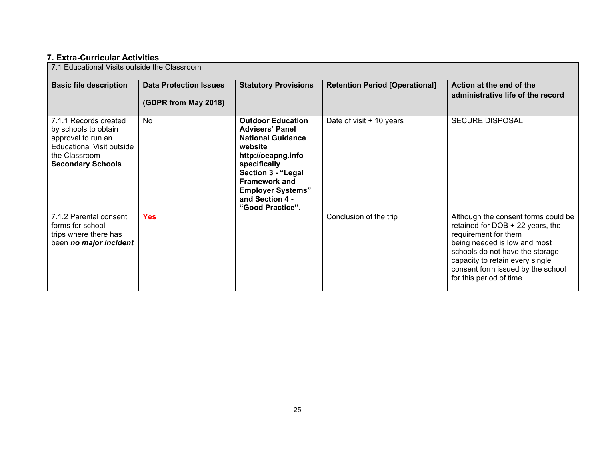# **7. Extra-Curricular Activities**

| 7.1 Educational Visits outside the Classroom                                                                                                             |                                                       |                                                                                                                                                                                                                                                  |                                       |                                                                                                                                                                                                                                                                          |  |  |  |
|----------------------------------------------------------------------------------------------------------------------------------------------------------|-------------------------------------------------------|--------------------------------------------------------------------------------------------------------------------------------------------------------------------------------------------------------------------------------------------------|---------------------------------------|--------------------------------------------------------------------------------------------------------------------------------------------------------------------------------------------------------------------------------------------------------------------------|--|--|--|
| <b>Basic file description</b>                                                                                                                            | <b>Data Protection Issues</b><br>(GDPR from May 2018) | <b>Statutory Provisions</b>                                                                                                                                                                                                                      | <b>Retention Period [Operational]</b> | Action at the end of the<br>administrative life of the record                                                                                                                                                                                                            |  |  |  |
| 7.1.1 Records created<br>by schools to obtain<br>approval to run an<br><b>Educational Visit outside</b><br>the Classroom $-$<br><b>Secondary Schools</b> | <b>No</b>                                             | <b>Outdoor Education</b><br><b>Advisers' Panel</b><br><b>National Guidance</b><br>website<br>http://oeapng.info<br>specifically<br>Section 3 - "Legal<br><b>Framework and</b><br><b>Employer Systems"</b><br>and Section 4 -<br>"Good Practice". | Date of visit + 10 years              | <b>SECURE DISPOSAL</b>                                                                                                                                                                                                                                                   |  |  |  |
| 7.1.2 Parental consent<br>forms for school<br>trips where there has<br>been no major incident                                                            | <b>Yes</b>                                            |                                                                                                                                                                                                                                                  | Conclusion of the trip                | Although the consent forms could be<br>retained for $DOB + 22$ years, the<br>requirement for them<br>being needed is low and most<br>schools do not have the storage<br>capacity to retain every single<br>consent form issued by the school<br>for this period of time. |  |  |  |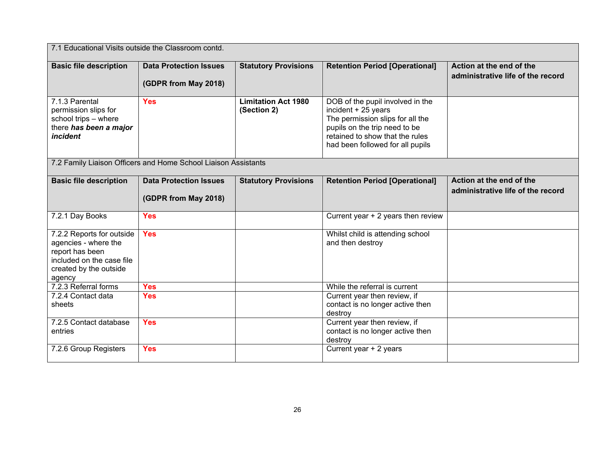| 7.1 Educational Visits outside the Classroom contd.                                                                                   |                                                       |                                           |                                                                                                                                                                                                     |                                                               |  |  |  |
|---------------------------------------------------------------------------------------------------------------------------------------|-------------------------------------------------------|-------------------------------------------|-----------------------------------------------------------------------------------------------------------------------------------------------------------------------------------------------------|---------------------------------------------------------------|--|--|--|
| <b>Basic file description</b>                                                                                                         | <b>Data Protection Issues</b><br>(GDPR from May 2018) | <b>Statutory Provisions</b>               | <b>Retention Period [Operational]</b>                                                                                                                                                               | Action at the end of the<br>administrative life of the record |  |  |  |
| 7.1.3 Parental<br>permission slips for<br>school trips - where<br>there has been a major<br>incident                                  | <b>Yes</b>                                            | <b>Limitation Act 1980</b><br>(Section 2) | DOB of the pupil involved in the<br>incident + 25 years<br>The permission slips for all the<br>pupils on the trip need to be<br>retained to show that the rules<br>had been followed for all pupils |                                                               |  |  |  |
| 7.2 Family Liaison Officers and Home School Liaison Assistants                                                                        |                                                       |                                           |                                                                                                                                                                                                     |                                                               |  |  |  |
| <b>Basic file description</b>                                                                                                         | <b>Data Protection Issues</b><br>(GDPR from May 2018) | <b>Statutory Provisions</b>               | <b>Retention Period [Operational]</b>                                                                                                                                                               | Action at the end of the<br>administrative life of the record |  |  |  |
| 7.2.1 Day Books                                                                                                                       | <b>Yes</b>                                            |                                           | Current year + 2 years then review                                                                                                                                                                  |                                                               |  |  |  |
| 7.2.2 Reports for outside<br>agencies - where the<br>report has been<br>included on the case file<br>created by the outside<br>agency | Yes                                                   |                                           | Whilst child is attending school<br>and then destroy                                                                                                                                                |                                                               |  |  |  |
| 7.2.3 Referral forms                                                                                                                  | <b>Yes</b>                                            |                                           | While the referral is current                                                                                                                                                                       |                                                               |  |  |  |
| 7.2.4 Contact data<br>sheets                                                                                                          | <b>Yes</b>                                            |                                           | Current year then review, if<br>contact is no longer active then<br>destroy                                                                                                                         |                                                               |  |  |  |
| 7.2.5 Contact database<br>entries                                                                                                     | <b>Yes</b>                                            |                                           | Current year then review, if<br>contact is no longer active then<br>destroy                                                                                                                         |                                                               |  |  |  |
| 7.2.6 Group Registers                                                                                                                 | <b>Yes</b>                                            |                                           | Current year + 2 years                                                                                                                                                                              |                                                               |  |  |  |